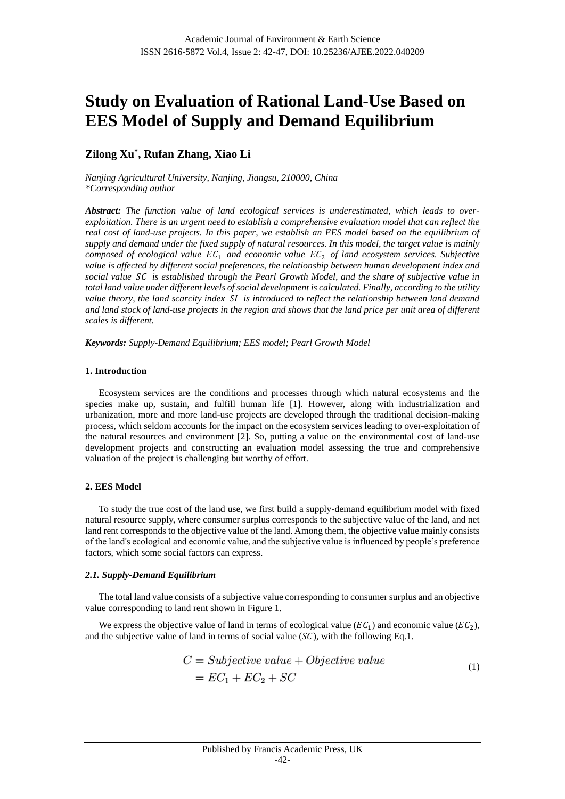# **Study on Evaluation of Rational Land-Use Based on EES Model of Supply and Demand Equilibrium**

# **Zilong Xu\* , Rufan Zhang, Xiao Li**

*Nanjing Agricultural University, Nanjing, Jiangsu, 210000, China \*Corresponding author*

*Abstract: The function value of land ecological services is underestimated, which leads to overexploitation. There is an urgent need to establish a comprehensive evaluation model that can reflect the real cost of land-use projects. In this paper, we establish an EES model based on the equilibrium of supply and demand under the fixed supply of natural resources. In this model, the target value is mainly composed of ecological value*  $EC_1$  *and economic value*  $EC_2$  *of land ecosystem services. Subjective value is affected by different social preferences, the relationship between human development index and social value is established through the Pearl Growth Model, and the share of subjective value in total land value under different levels of social development is calculated. Finally, according to the utility value theory, the land scarcity index is introduced to reflect the relationship between land demand and land stock of land-use projects in the region and shows that the land price per unit area of different scales is different.* 

*Keywords: Supply-Demand Equilibrium; EES model; Pearl Growth Model*

## **1. Introduction**

Ecosystem services are the conditions and processes through which natural ecosystems and the species make up, sustain, and fulfill human life [1]. However, along with industrialization and urbanization, more and more land-use projects are developed through the traditional decision-making process, which seldom accounts for the impact on the ecosystem services leading to over-exploitation of the natural resources and environment [2]. So, putting a value on the environmental cost of land-use development projects and constructing an evaluation model assessing the true and comprehensive valuation of the project is challenging but worthy of effort.

## **2. EES Model**

To study the true cost of the land use, we first build a supply-demand equilibrium model with fixed natural resource supply, where consumer surplus corresponds to the subjective value of the land, and net land rent corresponds to the objective value of the land. Among them, the objective value mainly consists of the land's ecological and economic value, and the subjective value is influenced by people's preference factors, which some social factors can express.

## *2.1. Supply-Demand Equilibrium*

The total land value consists of a subjective value corresponding to consumer surplus and an objective value corresponding to land rent shown i[n Figure 1.](#page-1-0)

We express the objective value of land in terms of ecological value ( $EC_1$ ) and economic value ( $EC_2$ ), and the subjective value of land in terms of social value  $(S<sub>C</sub>)$ , with the following Eq.1.

$$
C = Subjective value + Objective value
$$
  
=  $EC_1 + EC_2 + SC$  (1)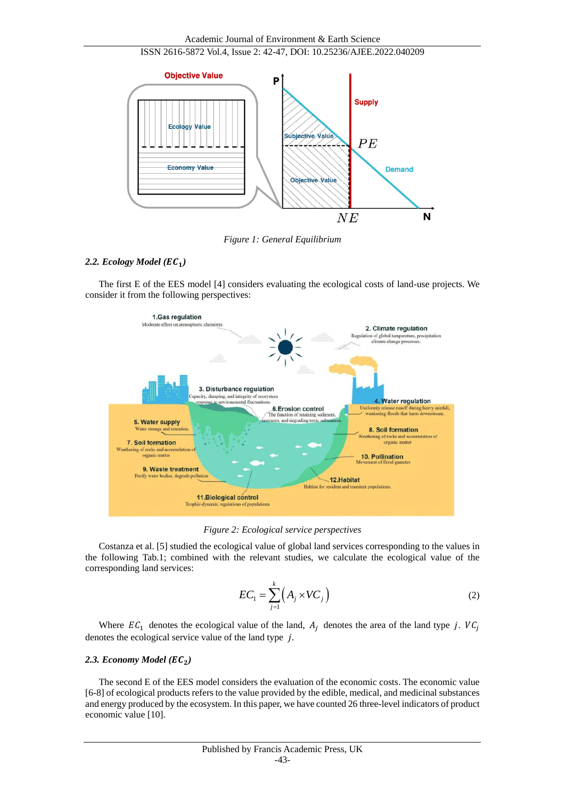

*Figure 1: General Equilibrium*

# <span id="page-1-0"></span>*2.2. Ecology Model ()*

The first E of the EES model [4] considers evaluating the ecological costs of land-use projects. We consider it from the following perspectives:



*Figure 2: Ecological service perspectives*

Costanza et al. [5] studied the ecological value of global land services corresponding to the values in the following Tab.1; combined with the relevant studies, we calculate the ecological value of the corresponding land services:

$$
EC_1 = \sum_{j=1}^{k} \left( A_j \times VC_j \right) \tag{2}
$$

Where  $EC_1$  denotes the ecological value of the land,  $A_i$  denotes the area of the land type j.  $VC_i$ denotes the ecological service value of the land type  $j$ .

## 2.3. *Economy Model* ( $EC<sub>2</sub>$ )

The second E of the EES model considers the evaluation of the economic costs. The economic value [6-8] of ecological products refers to the value provided by the edible, medical, and medicinal substances and energy produced by the ecosystem. In this paper, we have counted 26 three-level indicators of product economic value [10].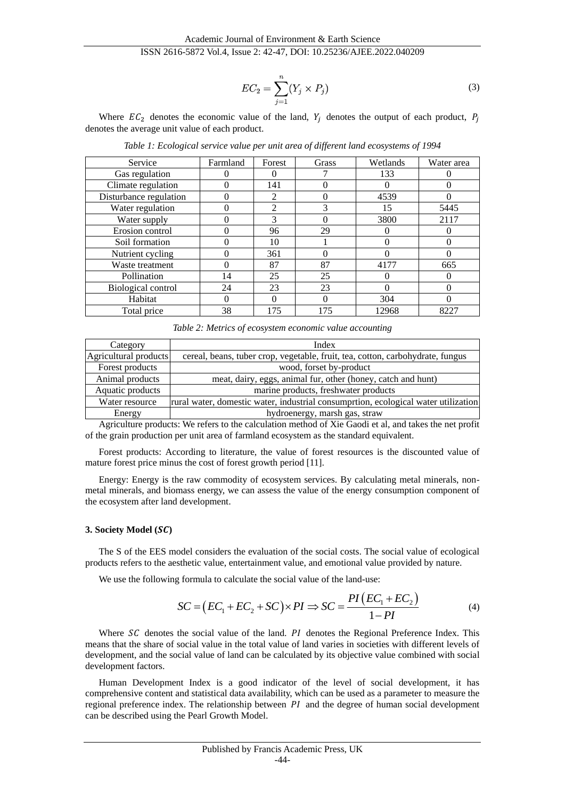$$
EC_2 = \sum_{j=1}^{n} (Y_j \times P_j)
$$
\n(3)

Where  $EC_2$  denotes the economic value of the land,  $Y_i$  denotes the output of each product,  $P_i$ denotes the average unit value of each product.

| Service                   | Farmland     | Forest         | Grass | Wetlands | Water area |
|---------------------------|--------------|----------------|-------|----------|------------|
| Gas regulation            |              | 0              |       | 133      |            |
| Climate regulation        |              | 141            |       |          |            |
| Disturbance regulation    |              | 2              |       | 4539     |            |
| Water regulation          |              | $\mathfrak{D}$ | 3     | 15       | 5445       |
| Water supply              |              | 3              |       | 3800     | 2117       |
| Erosion control           |              | 96             | 29    |          |            |
| Soil formation            |              | 10             |       |          |            |
| Nutrient cycling          |              | 361            |       |          |            |
| Waste treatment           | O            | 87             | 87    | 4177     | 665        |
| Pollination               | 14           | 25             | 25    |          |            |
| <b>Biological control</b> | 24           | 23             | 23    |          |            |
| Habitat                   | $\mathbf{0}$ | 0              |       | 304      |            |
| Total price               | 38           | 175            | 175   | 12968    | 8227       |

*Table 1: Ecological service value per unit area of different land ecosystems of 1994*

*Table 2: Metrics of ecosystem economic value accounting*

| Category              | Index                                                                             |
|-----------------------|-----------------------------------------------------------------------------------|
| Agricultural products | cereal, beans, tuber crop, vegetable, fruit, tea, cotton, carbohydrate, fungus    |
| Forest products       | wood, forset by-product                                                           |
| Animal products       | meat, dairy, eggs, animal fur, other (honey, catch and hunt)                      |
| Aquatic products      | marine products, freshwater products                                              |
| Water resource        | rural water, domestic water, industrial consumprion, ecological water utilization |
| Energy                | hydroenergy, marsh gas, straw                                                     |

Agriculture products: We refers to the calculation method of Xie Gaodi et al, and takes the net profit of the grain production per unit area of farmland ecosystem as the standard equivalent.

Forest products: According to literature, the value of forest resources is the discounted value of mature forest price minus the cost of forest growth period [11].

Energy: Energy is the raw commodity of ecosystem services. By calculating metal minerals, nonmetal minerals, and biomass energy, we can assess the value of the energy consumption component of the ecosystem after land development.

#### **3. Society Model ()**

The S of the EES model considers the evaluation of the social costs. The social value of ecological products refers to the aesthetic value, entertainment value, and emotional value provided by nature.

We use the following formula to calculate the social value of the land-use:

$$
SC = (EC1 + EC2 + SC) \times PI \Rightarrow SC = \frac{PI(EC1 + EC2)}{1 - PI}
$$
(4)

Where  $SC$  denotes the social value of the land.  $PI$  denotes the Regional Preference Index. This means that the share of social value in the total value of land varies in societies with different levels of development, and the social value of land can be calculated by its objective value combined with social development factors.

Human Development Index is a good indicator of the level of social development, it has comprehensive content and statistical data availability, which can be used as a parameter to measure the regional preference index. The relationship between  $PI$  and the degree of human social development can be described using the Pearl Growth Model.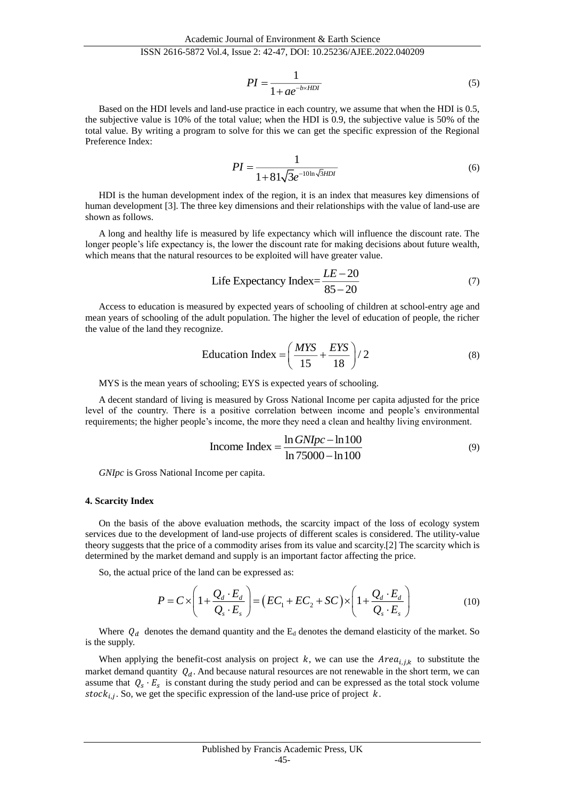$$
PI = \frac{1}{1 + ae^{-b \times HDI}}\tag{5}
$$

Based on the HDI levels and land-use practice in each country, we assume that when the HDI is 0.5, the subjective value is 10% of the total value; when the HDI is 0.9, the subjective value is 50% of the total value. By writing a program to solve for this we can get the specific expression of the Regional Preference Index:

$$
PI = \frac{1}{1 + 81\sqrt{3}e^{-10\ln\sqrt{3}HDI}}\tag{6}
$$

HDI is the human development index of the region, it is an index that measures key dimensions of human development [3]. The three key dimensions and their relationships with the value of land-use are shown as follows.

A long and healthy life is measured by life expectancy which will influence the discount rate. The longer people's life expectancy is, the lower the discount rate for making decisions about future wealth, which means that the natural resources to be exploited will have greater value.

Life Expectancy Index=
$$
\frac{LE - 20}{85 - 20}
$$
 (7)

Access to education is measured by expected years of schooling of children at school-entry age and mean years of schooling of the adult population. The higher the level of education of people, the richer the value of the land they recognize.

$$
Education Index = \left(\frac{MYS}{15} + \frac{EYS}{18}\right) / 2
$$
 (8)

MYS is the mean years of schooling; EYS is expected years of schooling.

A decent standard of living is measured by Gross National Income per capita adjusted for the price level of the country. There is a positive correlation between income and people's environmental requirements; the higher people's income, the more they need a clean and healthy living environment.

$$
Income Index = \frac{\ln GNIpc - \ln 100}{\ln 75000 - \ln 100}
$$
 (9)

*GNIpc* is Gross National Income per capita.

#### **4. Scarcity Index**

On the basis of the above evaluation methods, the scarcity impact of the loss of ecology system services due to the development of land-use projects of different scales is considered. The utility-value theory suggests that the price of a commodity arises from its value and scarcity.[2] The scarcity which is determined by the market demand and supply is an important factor affecting the price.

So, the actual price of the land can be expressed as:

$$
P = C \times \left(1 + \frac{Q_d \cdot E_d}{Q_s \cdot E_s}\right) = \left(EC_1 + EC_2 + SC\right) \times \left(1 + \frac{Q_d \cdot E_d}{Q_s \cdot E_s}\right) \tag{10}
$$

Where  $Q_d$  denotes the demand quantity and the  $E_d$  denotes the demand elasticity of the market. So is the supply.

When applying the benefit-cost analysis on project k, we can use the  $Area_{i,j,k}$  to substitute the market demand quantity  $Q_d$ . And because natural resources are not renewable in the short term, we can assume that  $Q_s \cdot E_s$  is constant during the study period and can be expressed as the total stock volume stoc $k_{i,j}$ . So, we get the specific expression of the land-use price of project k.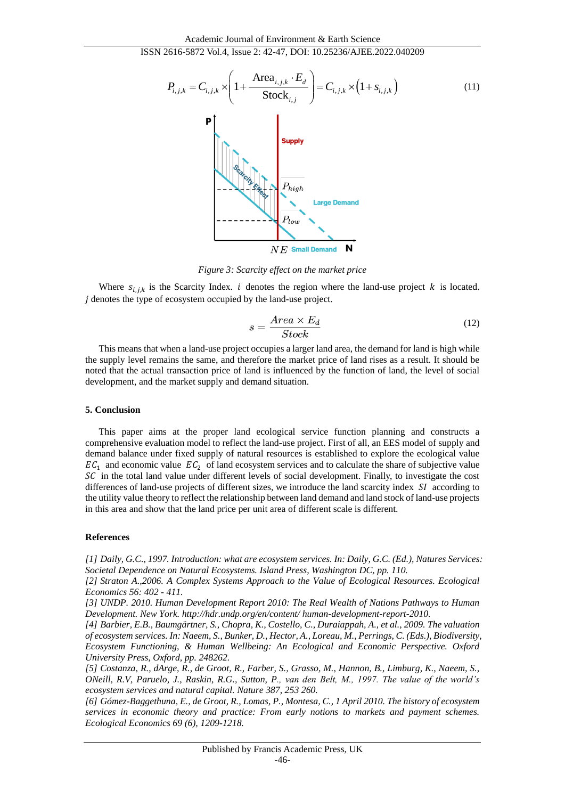## ISSN 2616-5872 Vol.4, Issue 2: 42-47, DOI: 10.25236/AJEE.2022.040209



*Figure 3: Scarcity effect on the market price*

Where  $s_{i,j,k}$  is the Scarcity Index. *i* denotes the region where the land-use project *k* is located. denotes the type of ecosystem occupied by the land-use project.

$$
s = \frac{Area \times E_d}{Stock} \tag{12}
$$

This means that when a land-use project occupies a larger land area, the demand for land is high while the supply level remains the same, and therefore the market price of land rises as a result. It should be noted that the actual transaction price of land is influenced by the function of land, the level of social development, and the market supply and demand situation.

#### **5. Conclusion**

This paper aims at the proper land ecological service function planning and constructs a comprehensive evaluation model to reflect the land-use project. First of all, an EES model of supply and demand balance under fixed supply of natural resources is established to explore the ecological value  $EC_1$  and economic value  $EC_2$  of land ecosystem services and to calculate the share of subjective value  $SC$  in the total land value under different levels of social development. Finally, to investigate the cost differences of land-use projects of different sizes, we introduce the land scarcity index  $SI$  according to the utility value theory to reflect the relationship between land demand and land stock of land-use projects in this area and show that the land price per unit area of different scale is different.

#### **References**

*[1] Daily, G.C., 1997. Introduction: what are ecosystem services. In: Daily, G.C. (Ed.), Natures Services: Societal Dependence on Natural Ecosystems. Island Press, Washington DC, pp. 110.* 

*[2] Straton A.,2006. A Complex Systems Approach to the Value of Ecological Resources. Ecological Economics 56: 402 - 411.* 

*[3] UNDP. 2010. Human Development Report 2010: The Real Wealth of Nations Pathways to Human Development. New York. http://hdr.undp.org/en/content/ human-development-report-2010.*

*[4] Barbier, E.B., Baumgärtner, S., Chopra, K., Costello, C., Duraiappah, A., et al., 2009. The valuation of ecosystem services. In: Naeem, S., Bunker, D., Hector, A., Loreau, M., Perrings, C. (Eds.), Biodiversity, Ecosystem Functioning, & Human Wellbeing: An Ecological and Economic Perspective. Oxford University Press, Oxford, pp. 248262.* 

*[5] Costanza, R., dArge, R., de Groot, R., Farber, S., Grasso, M., Hannon, B., Limburg, K., Naeem, S., ONeill, R.V, Paruelo, J., Raskin, R.G., Sutton, P., van den Belt, M., 1997. The value of the world's ecosystem services and natural capital. Nature 387, 253 260.*

*[6] Gómez-Baggethuna, E., de Groot, R., Lomas, P., Montesa, C., 1 April 2010. The history of ecosystem services in economic theory and practice: From early notions to markets and payment schemes. Ecological Economics 69 (6), 1209-1218.*